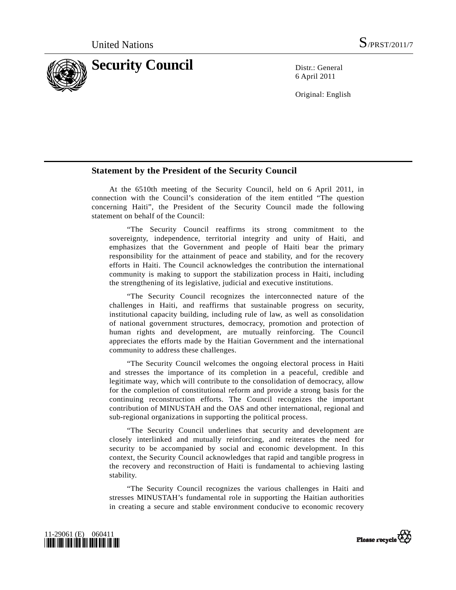

6 April 2011

Original: English

## **Statement by the President of the Security Council**

 At the 6510th meeting of the Security Council, held on 6 April 2011, in connection with the Council's consideration of the item entitled "The question concerning Haiti", the President of the Security Council made the following statement on behalf of the Council:

 "The Security Council reaffirms its strong commitment to the sovereignty, independence, territorial integrity and unity of Haiti, and emphasizes that the Government and people of Haiti bear the primary responsibility for the attainment of peace and stability, and for the recovery efforts in Haiti. The Council acknowledges the contribution the international community is making to support the stabilization process in Haiti, including the strengthening of its legislative, judicial and executive institutions.

 "The Security Council recognizes the interconnected nature of the challenges in Haiti, and reaffirms that sustainable progress on security, institutional capacity building, including rule of law, as well as consolidation of national government structures, democracy, promotion and protection of human rights and development, are mutually reinforcing. The Council appreciates the efforts made by the Haitian Government and the international community to address these challenges.

 "The Security Council welcomes the ongoing electoral process in Haiti and stresses the importance of its completion in a peaceful, credible and legitimate way, which will contribute to the consolidation of democracy, allow for the completion of constitutional reform and provide a strong basis for the continuing reconstruction efforts. The Council recognizes the important contribution of MINUSTAH and the OAS and other international, regional and sub-regional organizations in supporting the political process.

 "The Security Council underlines that security and development are closely interlinked and mutually reinforcing, and reiterates the need for security to be accompanied by social and economic development. In this context, the Security Council acknowledges that rapid and tangible progress in the recovery and reconstruction of Haiti is fundamental to achieving lasting stability.

 "The Security Council recognizes the various challenges in Haiti and stresses MINUSTAH's fundamental role in supporting the Haitian authorities in creating a secure and stable environment conducive to economic recovery



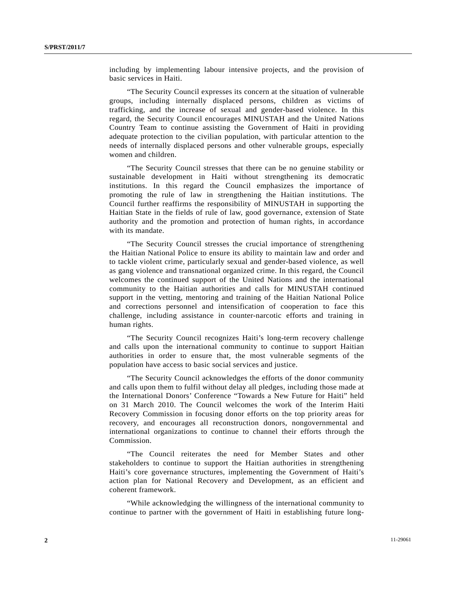including by implementing labour intensive projects, and the provision of basic services in Haiti.

 "The Security Council expresses its concern at the situation of vulnerable groups, including internally displaced persons, children as victims of trafficking, and the increase of sexual and gender-based violence. In this regard, the Security Council encourages MINUSTAH and the United Nations Country Team to continue assisting the Government of Haiti in providing adequate protection to the civilian population, with particular attention to the needs of internally displaced persons and other vulnerable groups, especially women and children.

 "The Security Council stresses that there can be no genuine stability or sustainable development in Haiti without strengthening its democratic institutions. In this regard the Council emphasizes the importance of promoting the rule of law in strengthening the Haitian institutions. The Council further reaffirms the responsibility of MINUSTAH in supporting the Haitian State in the fields of rule of law, good governance, extension of State authority and the promotion and protection of human rights, in accordance with its mandate.

 "The Security Council stresses the crucial importance of strengthening the Haitian National Police to ensure its ability to maintain law and order and to tackle violent crime, particularly sexual and gender-based violence, as well as gang violence and transnational organized crime. In this regard, the Council welcomes the continued support of the United Nations and the international community to the Haitian authorities and calls for MINUSTAH continued support in the vetting, mentoring and training of the Haitian National Police and corrections personnel and intensification of cooperation to face this challenge, including assistance in counter-narcotic efforts and training in human rights.

 "The Security Council recognizes Haiti's long-term recovery challenge and calls upon the international community to continue to support Haitian authorities in order to ensure that, the most vulnerable segments of the population have access to basic social services and justice.

 "The Security Council acknowledges the efforts of the donor community and calls upon them to fulfil without delay all pledges, including those made at the International Donors' Conference "Towards a New Future for Haiti" held on 31 March 2010. The Council welcomes the work of the Interim Haiti Recovery Commission in focusing donor efforts on the top priority areas for recovery, and encourages all reconstruction donors, nongovernmental and international organizations to continue to channel their efforts through the Commission.

 "The Council reiterates the need for Member States and other stakeholders to continue to support the Haitian authorities in strengthening Haiti's core governance structures, implementing the Government of Haiti's action plan for National Recovery and Development, as an efficient and coherent framework.

 "While acknowledging the willingness of the international community to continue to partner with the government of Haiti in establishing future long